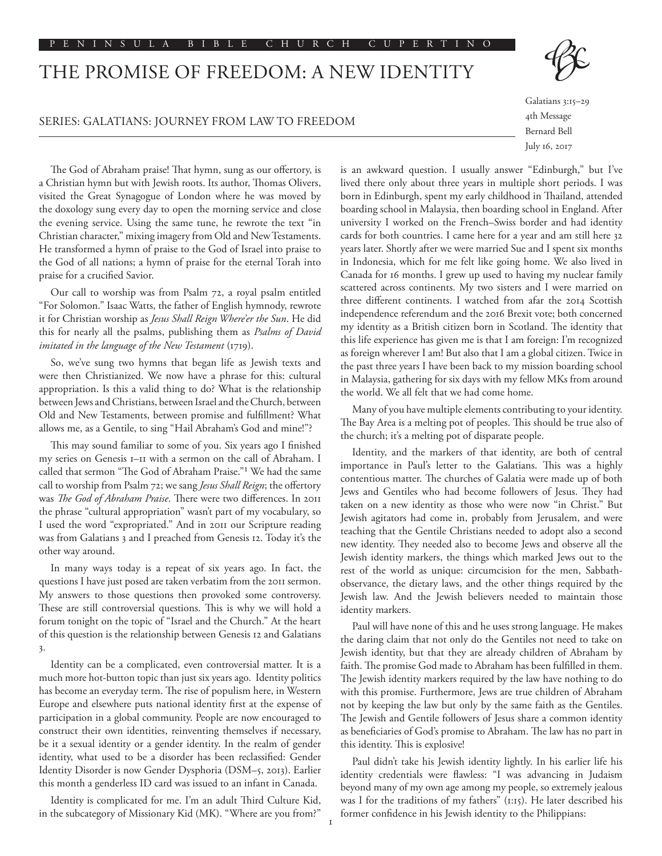# THE PROMISE OF FREEDOM: A NEW IDENTITY

## SERIES: GALATIANS: JOURNEY FROM LAW TO FREEDOM

Galatians 3:15–29 4th Message Bernard Bell July 16, 2017

The God of Abraham praise! That hymn, sung as our offertory, is a Christian hymn but with Jewish roots. Its author, Thomas Olivers, visited the Great Synagogue of London where he was moved by the doxology sung every day to open the morning service and close the evening service. Using the same tune, he rewrote the text "in Christian character," mixing imagery from Old and New Testaments. He transformed a hymn of praise to the God of Israel into praise to the God of all nations; a hymn of praise for the eternal Torah into praise for a crucified Savior.

Our call to worship was from Psalm 72, a royal psalm entitled "For Solomon." Isaac Watts, the father of English hymnody, rewrote it for Christian worship as *Jesus Shall Reign Where'er the Sun*. He did this for nearly all the psalms, publishing them as *Psalms of David imitated in the language of the New Testament* (1719).

So, we've sung two hymns that began life as Jewish texts and were then Christianized. We now have a phrase for this: cultural appropriation. Is this a valid thing to do? What is the relationship between Jews and Christians, between Israel and the Church, between Old and New Testaments, between promise and fulfillment? What allows me, as a Gentile, to sing "Hail Abraham's God and mine!"?

This may sound familiar to some of you. Six years ago I finished my series on Genesis 1–11 with a sermon on the call of Abraham. I called that sermon "The God of Abraham Praise."1 We had the same call to worship from Psalm 72; we sang *Jesus Shall Reign*; the offertory was *The God of Abraham Praise*. There were two differences. In 2011 the phrase "cultural appropriation" wasn't part of my vocabulary, so I used the word "expropriated." And in 2011 our Scripture reading was from Galatians 3 and I preached from Genesis 12. Today it's the other way around.

In many ways today is a repeat of six years ago. In fact, the questions I have just posed are taken verbatim from the 2011 sermon. My answers to those questions then provoked some controversy. These are still controversial questions. This is why we will hold a forum tonight on the topic of "Israel and the Church." At the heart of this question is the relationship between Genesis 12 and Galatians 3.

Identity can be a complicated, even controversial matter. It is a much more hot-button topic than just six years ago. Identity politics has become an everyday term. The rise of populism here, in Western Europe and elsewhere puts national identity first at the expense of participation in a global community. People are now encouraged to construct their own identities, reinventing themselves if necessary, be it a sexual identity or a gender identity. In the realm of gender identity, what used to be a disorder has been reclassified: Gender Identity Disorder is now Gender Dysphoria (DSM–5, 2013). Earlier this month a genderless ID card was issued to an infant in Canada.

Identity is complicated for me. I'm an adult Third Culture Kid, in the subcategory of Missionary Kid (MK). "Where are you from?"

is an awkward question. I usually answer "Edinburgh," but I've lived there only about three years in multiple short periods. I was born in Edinburgh, spent my early childhood in Thailand, attended boarding school in Malaysia, then boarding school in England. After university I worked on the French–Swiss border and had identity cards for both countries. I came here for a year and am still here 32 years later. Shortly after we were married Sue and I spent six months in Indonesia, which for me felt like going home. We also lived in Canada for 16 months. I grew up used to having my nuclear family scattered across continents. My two sisters and I were married on three different continents. I watched from afar the 2014 Scottish independence referendum and the 2016 Brexit vote; both concerned my identity as a British citizen born in Scotland. The identity that this life experience has given me is that I am foreign: I'm recognized as foreign wherever I am! But also that I am a global citizen. Twice in the past three years I have been back to my mission boarding school in Malaysia, gathering for six days with my fellow MKs from around the world. We all felt that we had come home.

Many of you have multiple elements contributing to your identity. The Bay Area is a melting pot of peoples. This should be true also of the church; it's a melting pot of disparate people.

Identity, and the markers of that identity, are both of central importance in Paul's letter to the Galatians. This was a highly contentious matter. The churches of Galatia were made up of both Jews and Gentiles who had become followers of Jesus. They had taken on a new identity as those who were now "in Christ." But Jewish agitators had come in, probably from Jerusalem, and were teaching that the Gentile Christians needed to adopt also a second new identity. They needed also to become Jews and observe all the Jewish identity markers, the things which marked Jews out to the rest of the world as unique: circumcision for the men, Sabbathobservance, the dietary laws, and the other things required by the Jewish law. And the Jewish believers needed to maintain those identity markers.

Paul will have none of this and he uses strong language. He makes the daring claim that not only do the Gentiles not need to take on Jewish identity, but that they are already children of Abraham by faith. The promise God made to Abraham has been fulfilled in them. The Jewish identity markers required by the law have nothing to do with this promise. Furthermore, Jews are true children of Abraham not by keeping the law but only by the same faith as the Gentiles. The Jewish and Gentile followers of Jesus share a common identity as beneficiaries of God's promise to Abraham. The law has no part in this identity. This is explosive!

Paul didn't take his Jewish identity lightly. In his earlier life his identity credentials were flawless: "I was advancing in Judaism beyond many of my own age among my people, so extremely jealous was I for the traditions of my fathers" (1:15). He later described his former confidence in his Jewish identity to the Philippians: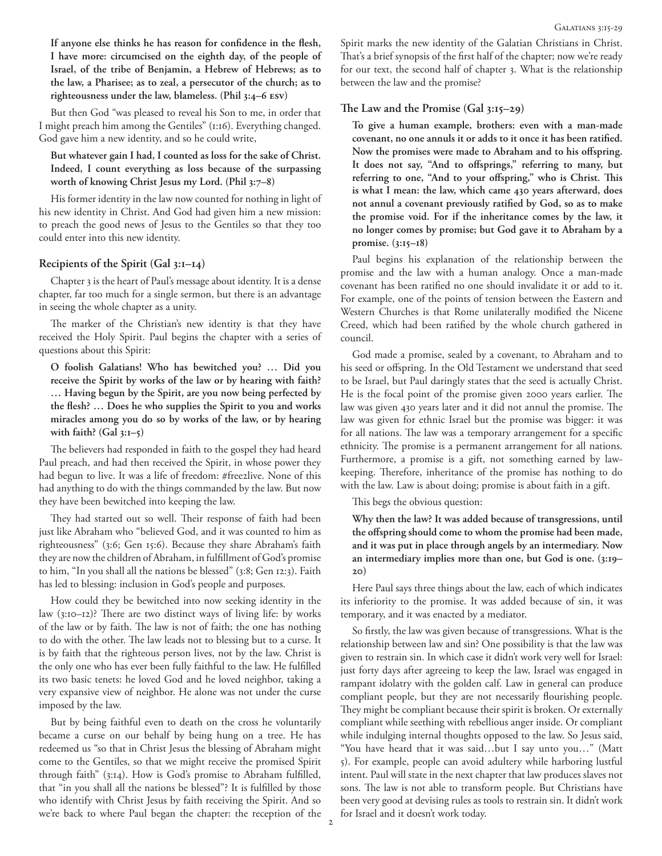**If anyone else thinks he has reason for confidence in the flesh, I have more: circumcised on the eighth day, of the people of Israel, of the tribe of Benjamin, a Hebrew of Hebrews; as to the law, a Pharisee; as to zeal, a persecutor of the church; as to righteousness under the law, blameless. (Phil 3:4–6 esv)**

But then God "was pleased to reveal his Son to me, in order that I might preach him among the Gentiles" (1:16). Everything changed. God gave him a new identity, and so he could write,

# **But whatever gain I had, I counted as loss for the sake of Christ. Indeed, I count everything as loss because of the surpassing worth of knowing Christ Jesus my Lord. (Phil 3:7–8)**

His former identity in the law now counted for nothing in light of his new identity in Christ. And God had given him a new mission: to preach the good news of Jesus to the Gentiles so that they too could enter into this new identity.

## **Recipients of the Spirit (Gal 3:1–14)**

Chapter 3 is the heart of Paul's message about identity. It is a dense chapter, far too much for a single sermon, but there is an advantage in seeing the whole chapter as a unity.

The marker of the Christian's new identity is that they have received the Holy Spirit. Paul begins the chapter with a series of questions about this Spirit:

**O foolish Galatians! Who has bewitched you? … Did you receive the Spirit by works of the law or by hearing with faith? … Having begun by the Spirit, are you now being perfected by the flesh? … Does he who supplies the Spirit to you and works miracles among you do so by works of the law, or by hearing with faith? (Gal 3:1–5)**

The believers had responded in faith to the gospel they had heard Paul preach, and had then received the Spirit, in whose power they had begun to live. It was a life of freedom: #free2live. None of this had anything to do with the things commanded by the law. But now they have been bewitched into keeping the law.

They had started out so well. Their response of faith had been just like Abraham who "believed God, and it was counted to him as righteousness" (3:6; Gen 15:6). Because they share Abraham's faith they are now the children of Abraham, in fulfillment of God's promise to him, "In you shall all the nations be blessed" (3:8; Gen 12:3). Faith has led to blessing: inclusion in God's people and purposes.

How could they be bewitched into now seeking identity in the law (3:10–12)? There are two distinct ways of living life: by works of the law or by faith. The law is not of faith; the one has nothing to do with the other. The law leads not to blessing but to a curse. It is by faith that the righteous person lives, not by the law. Christ is the only one who has ever been fully faithful to the law. He fulfilled its two basic tenets: he loved God and he loved neighbor, taking a very expansive view of neighbor. He alone was not under the curse imposed by the law.

But by being faithful even to death on the cross he voluntarily became a curse on our behalf by being hung on a tree. He has redeemed us "so that in Christ Jesus the blessing of Abraham might come to the Gentiles, so that we might receive the promised Spirit through faith" (3:14). How is God's promise to Abraham fulfilled, that "in you shall all the nations be blessed"? It is fulfilled by those who identify with Christ Jesus by faith receiving the Spirit. And so we're back to where Paul began the chapter: the reception of the

Spirit marks the new identity of the Galatian Christians in Christ. That's a brief synopsis of the first half of the chapter; now we're ready for our text, the second half of chapter 3. What is the relationship between the law and the promise?

#### **The Law and the Promise (Gal 3:15–29)**

**To give a human example, brothers: even with a man-made covenant, no one annuls it or adds to it once it has been ratified. Now the promises were made to Abraham and to his offspring. It does not say, "And to offsprings," referring to many, but referring to one, "And to your offspring," who is Christ. This is what I mean: the law, which came 430 years afterward, does not annul a covenant previously ratified by God, so as to make the promise void. For if the inheritance comes by the law, it no longer comes by promise; but God gave it to Abraham by a promise. (3:15–18)**

Paul begins his explanation of the relationship between the promise and the law with a human analogy. Once a man-made covenant has been ratified no one should invalidate it or add to it. For example, one of the points of tension between the Eastern and Western Churches is that Rome unilaterally modified the Nicene Creed, which had been ratified by the whole church gathered in council.

God made a promise, sealed by a covenant, to Abraham and to his seed or offspring. In the Old Testament we understand that seed to be Israel, but Paul daringly states that the seed is actually Christ. He is the focal point of the promise given 2000 years earlier. The law was given 430 years later and it did not annul the promise. The law was given for ethnic Israel but the promise was bigger: it was for all nations. The law was a temporary arrangement for a specific ethnicity. The promise is a permanent arrangement for all nations. Furthermore, a promise is a gift, not something earned by lawkeeping. Therefore, inheritance of the promise has nothing to do with the law. Law is about doing; promise is about faith in a gift.

This begs the obvious question:

**Why then the law? It was added because of transgressions, until the offspring should come to whom the promise had been made, and it was put in place through angels by an intermediary. Now an intermediary implies more than one, but God is one. (3:19– 20)**

Here Paul says three things about the law, each of which indicates its inferiority to the promise. It was added because of sin, it was temporary, and it was enacted by a mediator.

So firstly, the law was given because of transgressions. What is the relationship between law and sin? One possibility is that the law was given to restrain sin. In which case it didn't work very well for Israel: just forty days after agreeing to keep the law, Israel was engaged in rampant idolatry with the golden calf. Law in general can produce compliant people, but they are not necessarily flourishing people. They might be compliant because their spirit is broken. Or externally compliant while seething with rebellious anger inside. Or compliant while indulging internal thoughts opposed to the law. So Jesus said, "You have heard that it was said…but I say unto you…" (Matt 5). For example, people can avoid adultery while harboring lustful intent. Paul will state in the next chapter that law produces slaves not sons. The law is not able to transform people. But Christians have been very good at devising rules as tools to restrain sin. It didn't work for Israel and it doesn't work today.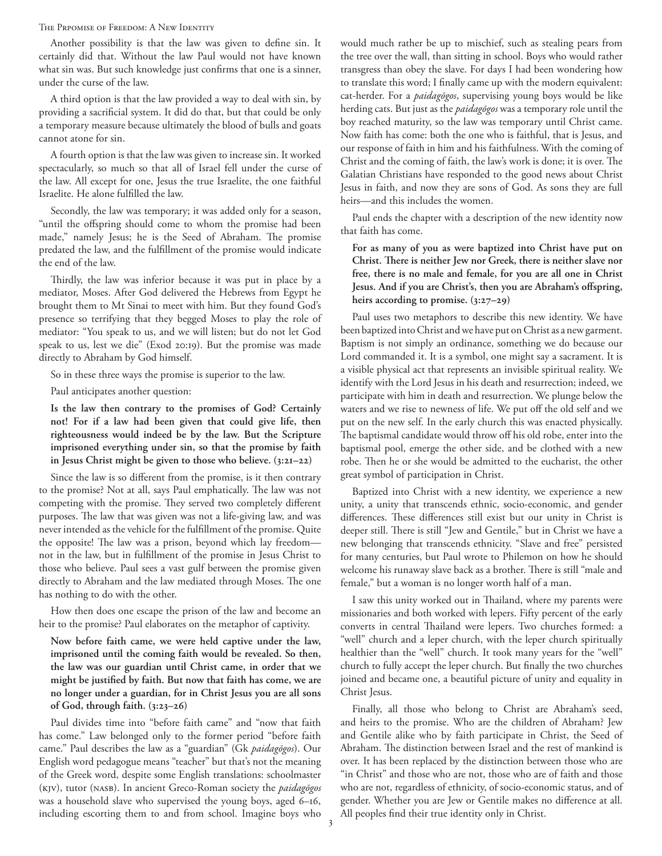THE PRPOMISE OF FREEDOM: A NEW IDENTITY

Another possibility is that the law was given to define sin. It certainly did that. Without the law Paul would not have known what sin was. But such knowledge just confirms that one is a sinner, under the curse of the law.

A third option is that the law provided a way to deal with sin, by providing a sacrificial system. It did do that, but that could be only a temporary measure because ultimately the blood of bulls and goats cannot atone for sin.

A fourth option is that the law was given to increase sin. It worked spectacularly, so much so that all of Israel fell under the curse of the law. All except for one, Jesus the true Israelite, the one faithful Israelite. He alone fulfilled the law.

Secondly, the law was temporary; it was added only for a season, "until the offspring should come to whom the promise had been made," namely Jesus; he is the Seed of Abraham. The promise predated the law, and the fulfillment of the promise would indicate the end of the law.

Thirdly, the law was inferior because it was put in place by a mediator, Moses. After God delivered the Hebrews from Egypt he brought them to Mt Sinai to meet with him. But they found God's presence so terrifying that they begged Moses to play the role of mediator: "You speak to us, and we will listen; but do not let God speak to us, lest we die" (Exod 20:19). But the promise was made directly to Abraham by God himself.

So in these three ways the promise is superior to the law.

Paul anticipates another question:

**Is the law then contrary to the promises of God? Certainly not! For if a law had been given that could give life, then righteousness would indeed be by the law. But the Scripture imprisoned everything under sin, so that the promise by faith in Jesus Christ might be given to those who believe. (3:21–22)**

Since the law is so different from the promise, is it then contrary to the promise? Not at all, says Paul emphatically. The law was not competing with the promise. They served two completely different purposes. The law that was given was not a life-giving law, and was never intended as the vehicle for the fulfillment of the promise. Quite the opposite! The law was a prison, beyond which lay freedom not in the law, but in fulfillment of the promise in Jesus Christ to those who believe. Paul sees a vast gulf between the promise given directly to Abraham and the law mediated through Moses. The one has nothing to do with the other.

How then does one escape the prison of the law and become an heir to the promise? Paul elaborates on the metaphor of captivity.

**Now before faith came, we were held captive under the law, imprisoned until the coming faith would be revealed. So then, the law was our guardian until Christ came, in order that we might be justified by faith. But now that faith has come, we are no longer under a guardian, for in Christ Jesus you are all sons of God, through faith. (3:23–26)**

Paul divides time into "before faith came" and "now that faith has come." Law belonged only to the former period "before faith came." Paul describes the law as a "guardian" (Gk *paidagōgos*). Our English word pedagogue means "teacher" but that's not the meaning of the Greek word, despite some English translations: schoolmaster (kjv), tutor (nasb). In ancient Greco-Roman society the *paidagōgos*  was a household slave who supervised the young boys, aged 6–16, including escorting them to and from school. Imagine boys who

would much rather be up to mischief, such as stealing pears from the tree over the wall, than sitting in school. Boys who would rather transgress than obey the slave. For days I had been wondering how to translate this word; I finally came up with the modern equivalent: cat-herder. For a *paidagōgos*, supervising young boys would be like herding cats. But just as the *paidagōgos* was a temporary role until the boy reached maturity, so the law was temporary until Christ came. Now faith has come: both the one who is faithful, that is Jesus, and our response of faith in him and his faithfulness. With the coming of Christ and the coming of faith, the law's work is done; it is over. The Galatian Christians have responded to the good news about Christ Jesus in faith, and now they are sons of God. As sons they are full heirs—and this includes the women.

Paul ends the chapter with a description of the new identity now that faith has come.

**For as many of you as were baptized into Christ have put on Christ. There is neither Jew nor Greek, there is neither slave nor free, there is no male and female, for you are all one in Christ Jesus. And if you are Christ's, then you are Abraham's offspring, heirs according to promise. (3:27–29)**

Paul uses two metaphors to describe this new identity. We have been baptized into Christ and we have put on Christ as a new garment. Baptism is not simply an ordinance, something we do because our Lord commanded it. It is a symbol, one might say a sacrament. It is a visible physical act that represents an invisible spiritual reality. We identify with the Lord Jesus in his death and resurrection; indeed, we participate with him in death and resurrection. We plunge below the waters and we rise to newness of life. We put off the old self and we put on the new self. In the early church this was enacted physically. The baptismal candidate would throw off his old robe, enter into the baptismal pool, emerge the other side, and be clothed with a new robe. Then he or she would be admitted to the eucharist, the other great symbol of participation in Christ.

Baptized into Christ with a new identity, we experience a new unity, a unity that transcends ethnic, socio-economic, and gender differences. These differences still exist but our unity in Christ is deeper still. There is still "Jew and Gentile," but in Christ we have a new belonging that transcends ethnicity. "Slave and free" persisted for many centuries, but Paul wrote to Philemon on how he should welcome his runaway slave back as a brother. There is still "male and female," but a woman is no longer worth half of a man.

I saw this unity worked out in Thailand, where my parents were missionaries and both worked with lepers. Fifty percent of the early converts in central Thailand were lepers. Two churches formed: a "well" church and a leper church, with the leper church spiritually healthier than the "well" church. It took many years for the "well" church to fully accept the leper church. But finally the two churches joined and became one, a beautiful picture of unity and equality in Christ Jesus.

Finally, all those who belong to Christ are Abraham's seed, and heirs to the promise. Who are the children of Abraham? Jew and Gentile alike who by faith participate in Christ, the Seed of Abraham. The distinction between Israel and the rest of mankind is over. It has been replaced by the distinction between those who are "in Christ" and those who are not, those who are of faith and those who are not, regardless of ethnicity, of socio-economic status, and of gender. Whether you are Jew or Gentile makes no difference at all. All peoples find their true identity only in Christ.